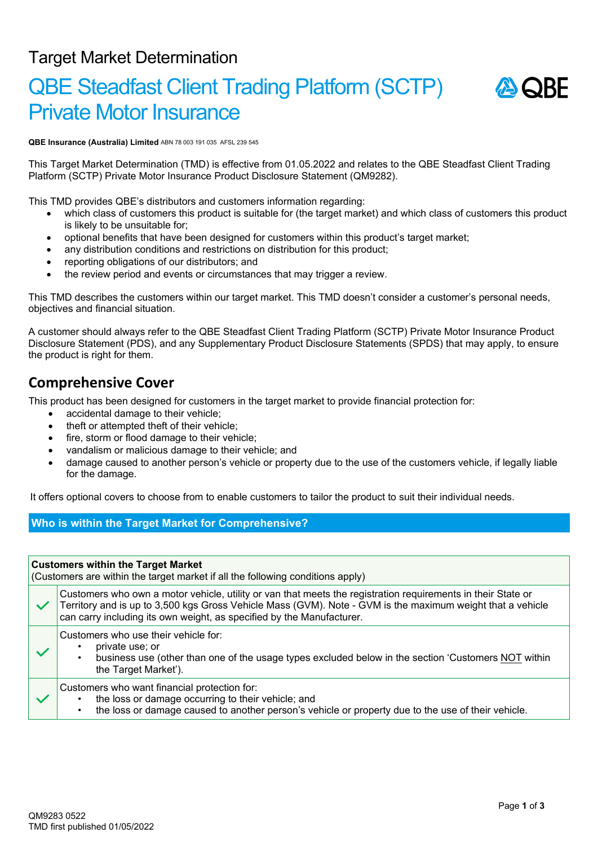## Target Market Determination

# QBE Steadfast Client Trading Platform (SCTP) Private Motor Insurance



**QBE Insurance (Australia) Limited** ABN 78 003 191 035 AFSL 239 545

This Target Market Determination (TMD) is effective from 01.05.2022 and relates to the QBE Steadfast Client Trading Platform (SCTP) Private Motor Insurance Product Disclosure Statement (QM9282).

This TMD provides QBE's distributors and customers information regarding:

- which class of customers this product is suitable for (the target market) and which class of customers this product is likely to be unsuitable for;
- optional benefits that have been designed for customers within this product's target market;
- any distribution conditions and restrictions on distribution for this product;
- reporting obligations of our distributors; and
- the review period and events or circumstances that may trigger a review.

This TMD describes the customers within our target market. This TMD doesn't consider a customer's personal needs, objectives and financial situation.

A customer should always refer to the QBE Steadfast Client Trading Platform (SCTP) Private Motor Insurance Product Disclosure Statement (PDS), and any Supplementary Product Disclosure Statements (SPDS) that may apply, to ensure the product is right for them.

### **Comprehensive Cover**

This product has been designed for customers in the target market to provide financial protection for:

- accidental damage to their vehicle;
- theft or attempted theft of their vehicle;
- fire, storm or flood damage to their vehicle;
- vandalism or malicious damage to their vehicle; and
- damage caused to another person's vehicle or property due to the use of the customers vehicle, if legally liable for the damage.

It offers optional covers to choose from to enable customers to tailor the product to suit their individual needs.

#### **Who is within the Target Market for Comprehensive?**

| <b>Customers within the Target Market</b><br>(Customers are within the target market if all the following conditions apply) |                                                                                                                                                                                                                                                                                                     |  |  |  |
|-----------------------------------------------------------------------------------------------------------------------------|-----------------------------------------------------------------------------------------------------------------------------------------------------------------------------------------------------------------------------------------------------------------------------------------------------|--|--|--|
|                                                                                                                             | Customers who own a motor vehicle, utility or van that meets the registration requirements in their State or<br>Territory and is up to 3,500 kgs Gross Vehicle Mass (GVM). Note - GVM is the maximum weight that a vehicle<br>can carry including its own weight, as specified by the Manufacturer. |  |  |  |
|                                                                                                                             | Customers who use their vehicle for:<br>private use; or<br>business use (other than one of the usage types excluded below in the section 'Customers NOT within<br>the Target Market').                                                                                                              |  |  |  |
|                                                                                                                             | Customers who want financial protection for:<br>the loss or damage occurring to their vehicle; and<br>the loss or damage caused to another person's vehicle or property due to the use of their vehicle.                                                                                            |  |  |  |
|                                                                                                                             |                                                                                                                                                                                                                                                                                                     |  |  |  |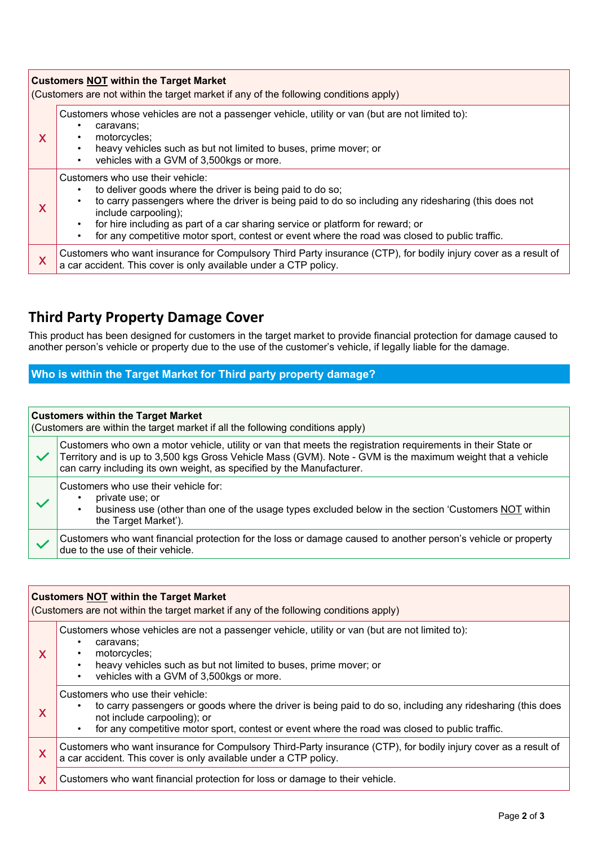| <b>Customers NOT within the Target Market</b><br>(Customers are not within the target market if any of the following conditions apply) |                                                                                                                                                                                                                                                                                                                                                                                                                   |  |  |  |
|----------------------------------------------------------------------------------------------------------------------------------------|-------------------------------------------------------------------------------------------------------------------------------------------------------------------------------------------------------------------------------------------------------------------------------------------------------------------------------------------------------------------------------------------------------------------|--|--|--|
| X                                                                                                                                      | Customers whose vehicles are not a passenger vehicle, utility or van (but are not limited to):<br>caravans;<br>٠<br>motorcycles;<br>heavy vehicles such as but not limited to buses, prime mover; or<br>$\bullet$<br>vehicles with a GVM of 3,500kgs or more.<br>$\bullet$                                                                                                                                        |  |  |  |
| X                                                                                                                                      | Customers who use their vehicle:<br>to deliver goods where the driver is being paid to do so;<br>to carry passengers where the driver is being paid to do so including any ridesharing (this does not<br>include carpooling);<br>for hire including as part of a car sharing service or platform for reward; or<br>for any competitive motor sport, contest or event where the road was closed to public traffic. |  |  |  |
| X                                                                                                                                      | Customers who want insurance for Compulsory Third Party insurance (CTP), for bodily injury cover as a result of<br>a car accident. This cover is only available under a CTP policy.                                                                                                                                                                                                                               |  |  |  |

## **Third Party Property Damage Cover**

This product has been designed for customers in the target market to provide financial protection for damage caused to another person's vehicle or property due to the use of the customer's vehicle, if legally liable for the damage.

#### **Who is within the Target Market for Third party property damage?**

#### **Customers within the Target Market**

(Customers are within the target market if all the following conditions apply) Customers who own a motor vehicle, utility or van that meets the registration requirements in their State or  $\checkmark$ Territory and is up to 3,500 kgs Gross Vehicle Mass (GVM). Note - GVM is the maximum weight that a vehicle can carry including its own weight, as specified by the Manufacturer. Customers who use their vehicle for: • private use; or • business use (other than one of the usage types excluded below in the section 'Customers NOT within the Target Market'). Customers who want financial protection for the loss or damage caused to another person's vehicle or property due to the use of their vehicle.

| <b>Customers NOT within the Target Market</b><br>(Customers are not within the target market if any of the following conditions apply) |                                                                                                                                                                                                                                                                                 |  |  |  |
|----------------------------------------------------------------------------------------------------------------------------------------|---------------------------------------------------------------------------------------------------------------------------------------------------------------------------------------------------------------------------------------------------------------------------------|--|--|--|
| X                                                                                                                                      | Customers whose vehicles are not a passenger vehicle, utility or van (but are not limited to):<br>caravans;<br>motorcycles;<br>heavy vehicles such as but not limited to buses, prime mover; or<br>vehicles with a GVM of 3,500kgs or more.<br>٠                                |  |  |  |
| X                                                                                                                                      | Customers who use their vehicle:<br>to carry passengers or goods where the driver is being paid to do so, including any ridesharing (this does<br>not include carpooling); or<br>for any competitive motor sport, contest or event where the road was closed to public traffic. |  |  |  |
| X                                                                                                                                      | Customers who want insurance for Compulsory Third-Party insurance (CTP), for bodily injury cover as a result of<br>a car accident. This cover is only available under a CTP policy.                                                                                             |  |  |  |
| $\overline{\mathsf{X}}$                                                                                                                | Customers who want financial protection for loss or damage to their vehicle.                                                                                                                                                                                                    |  |  |  |